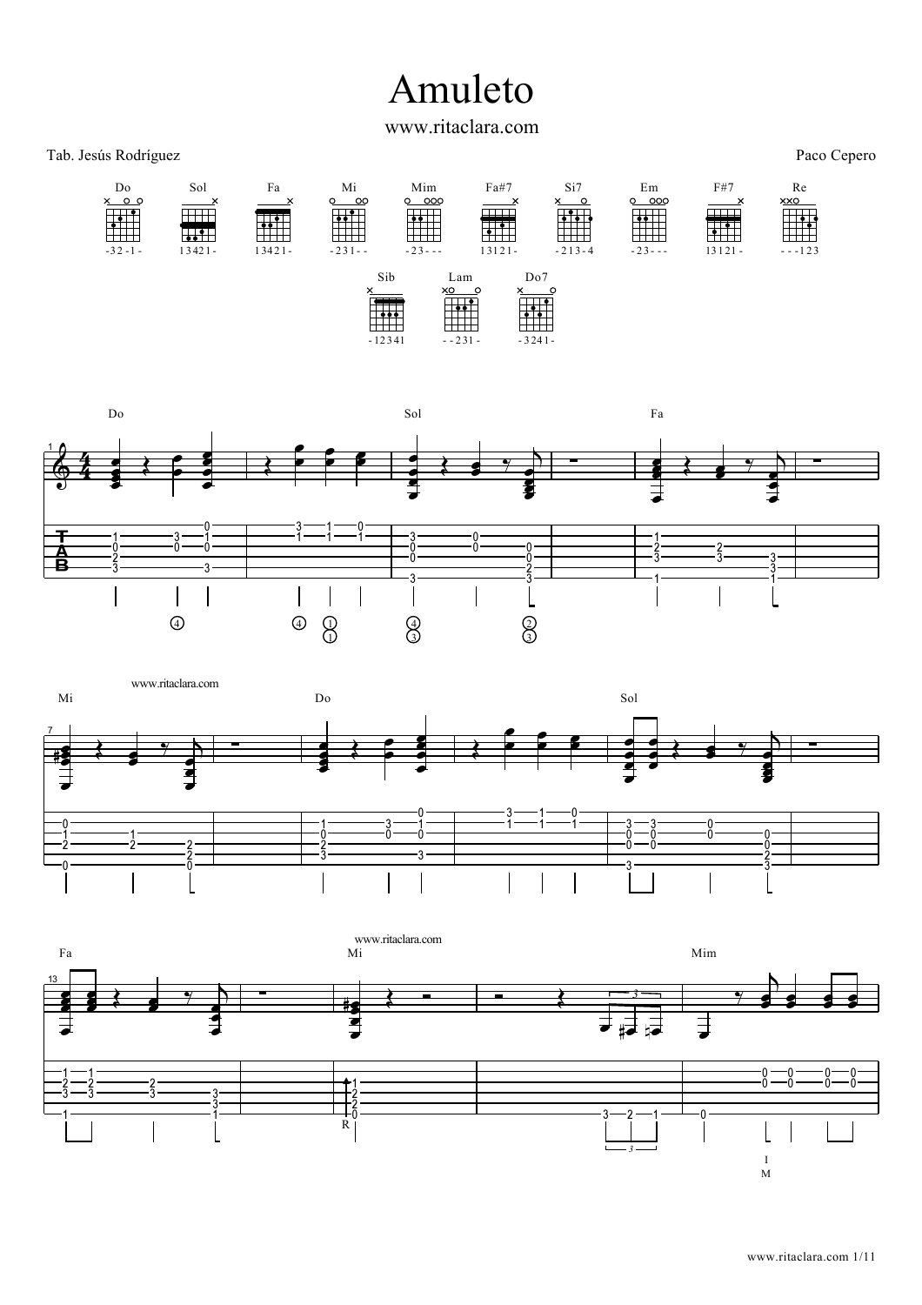## Amuleto

www.ritaclara.com

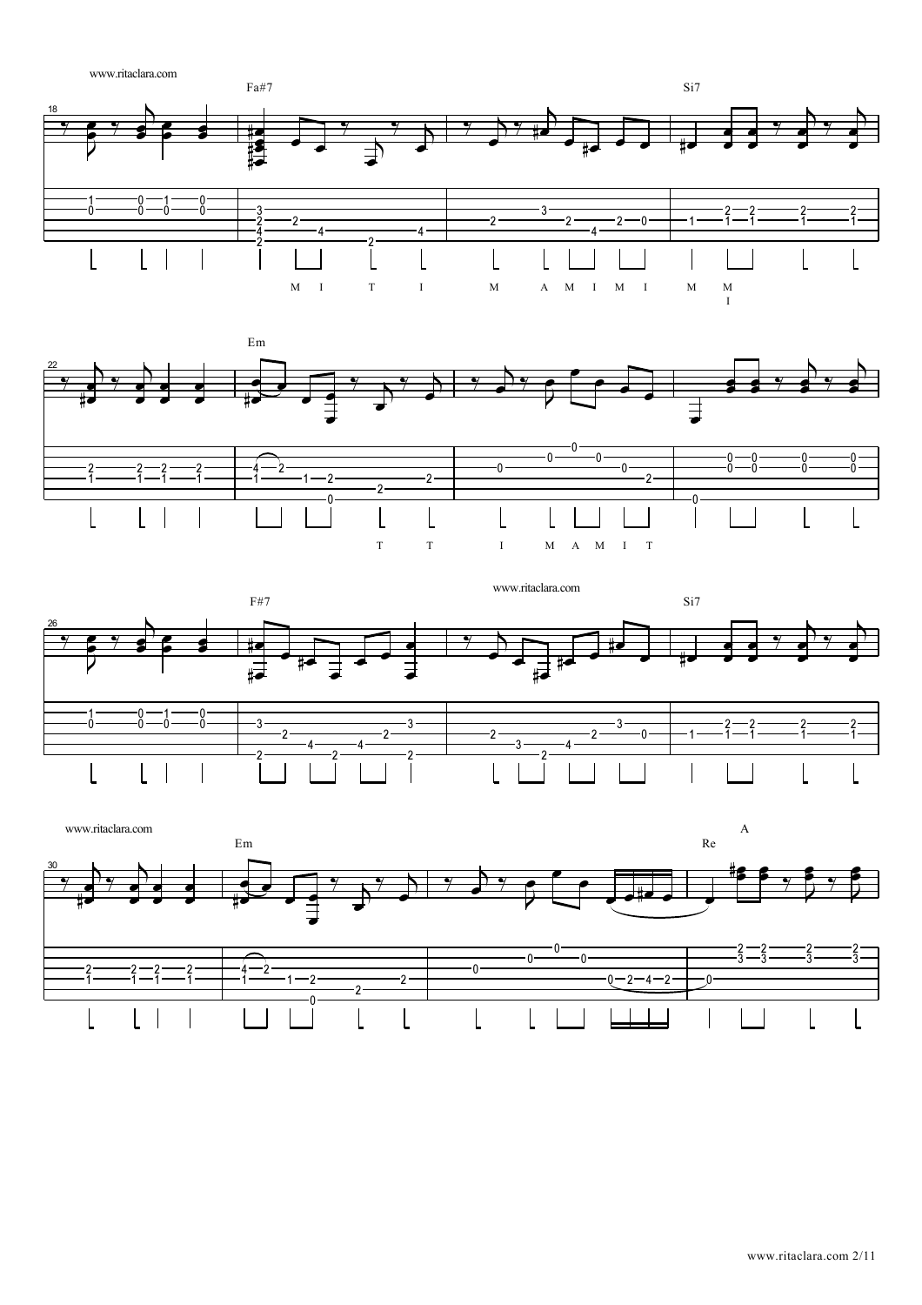





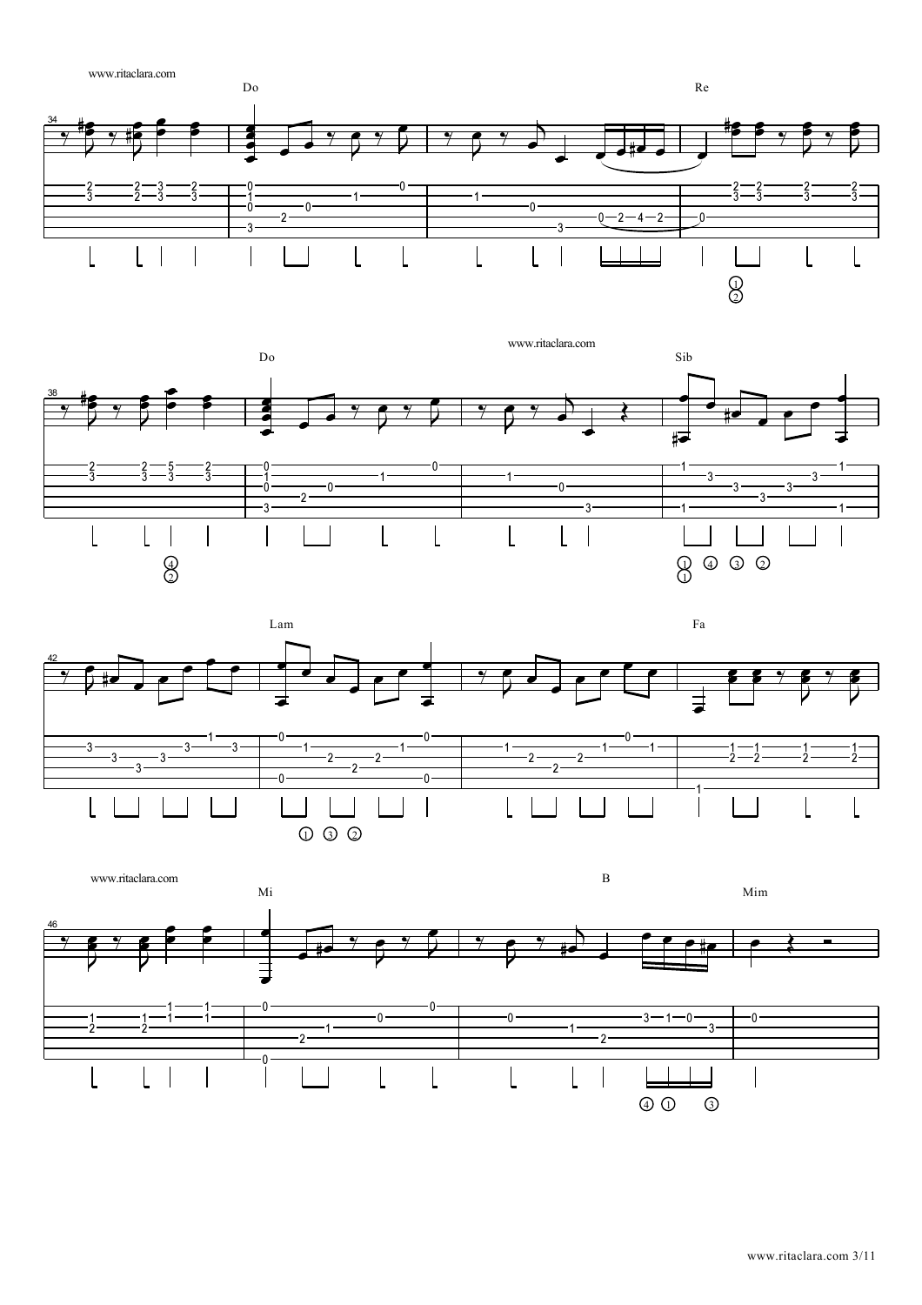





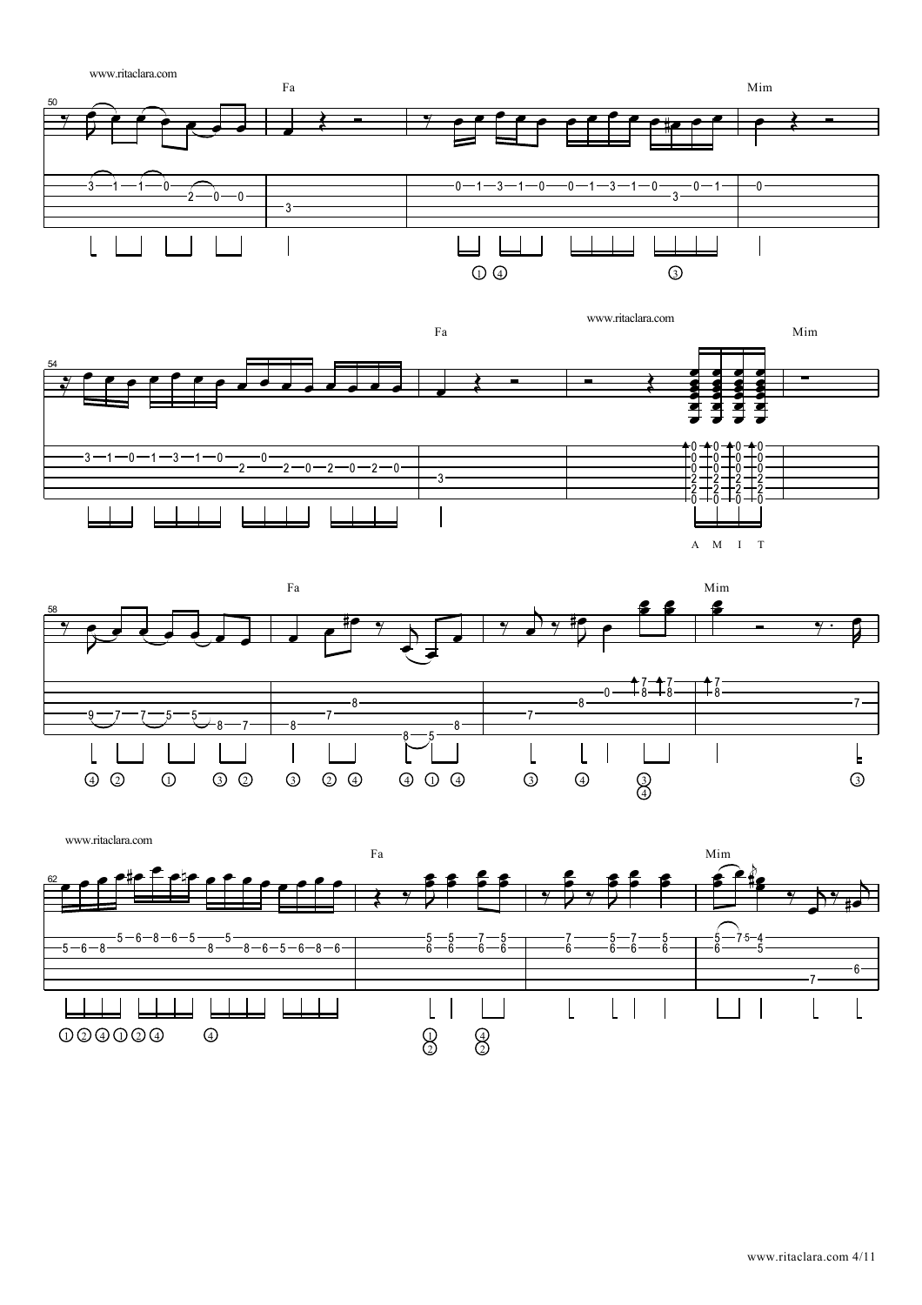





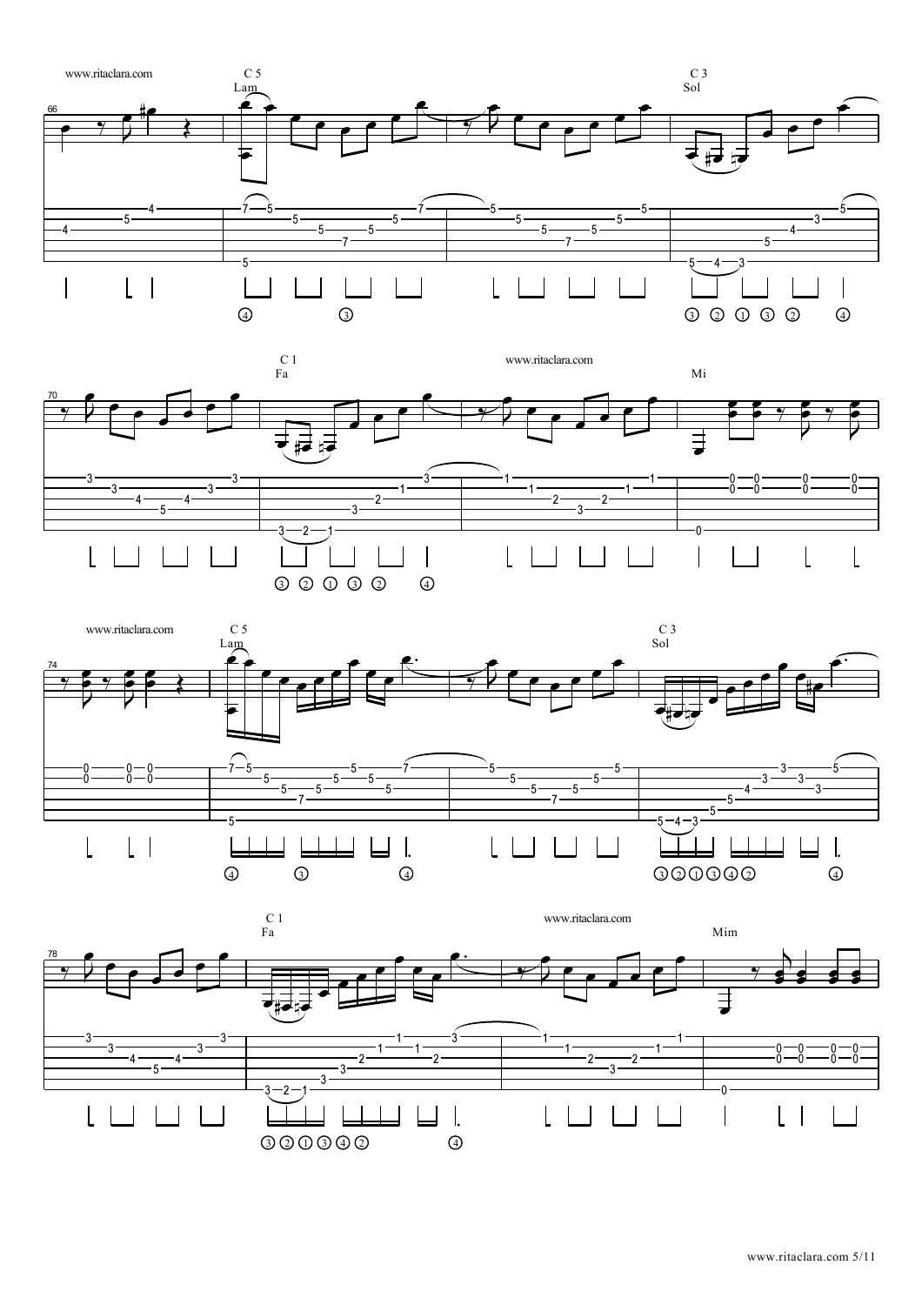





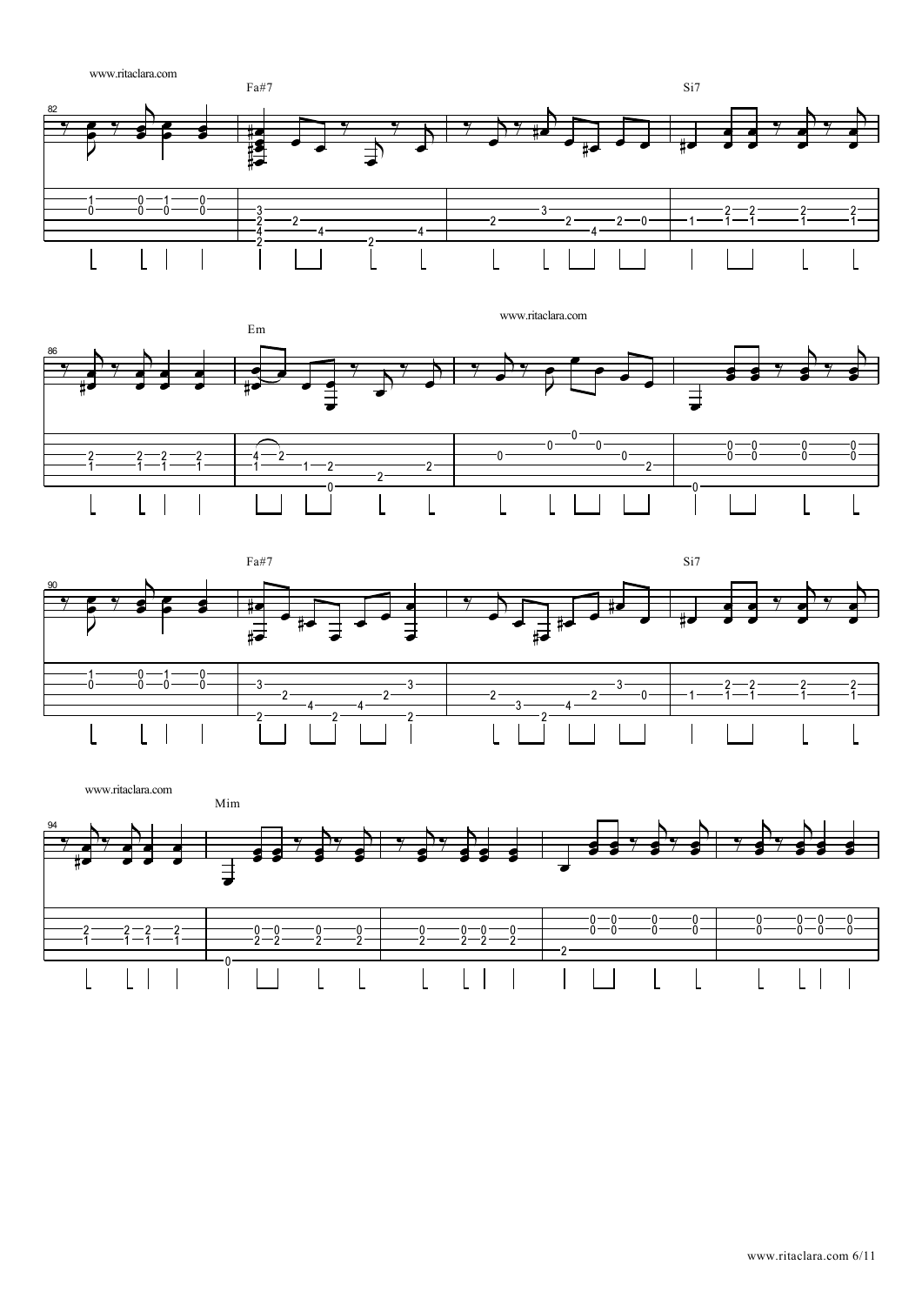





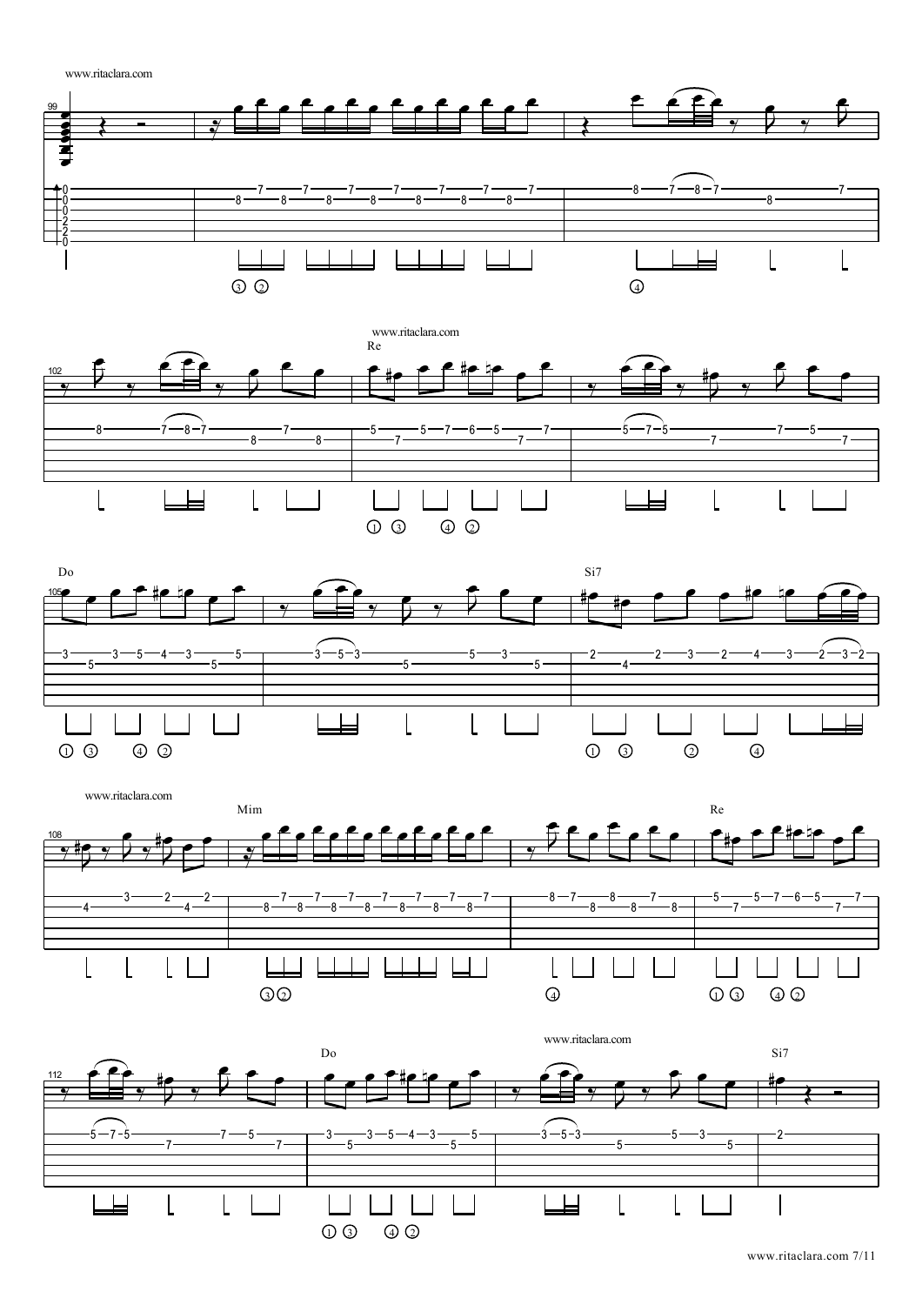www.ritaclara.com











www.ritaclara.com 7/11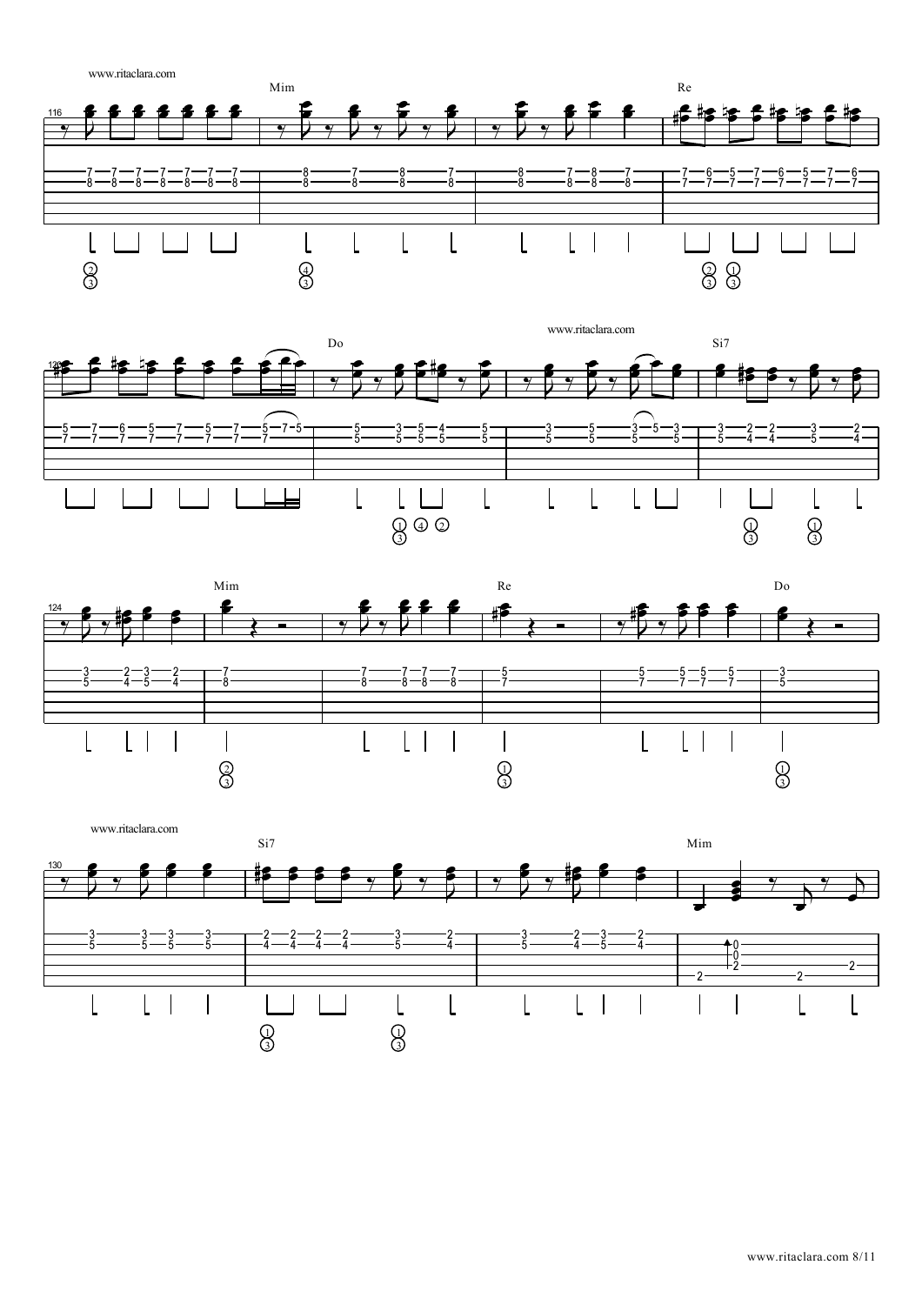![](_page_7_Figure_0.jpeg)

![](_page_7_Figure_1.jpeg)

![](_page_7_Figure_2.jpeg)

![](_page_7_Figure_3.jpeg)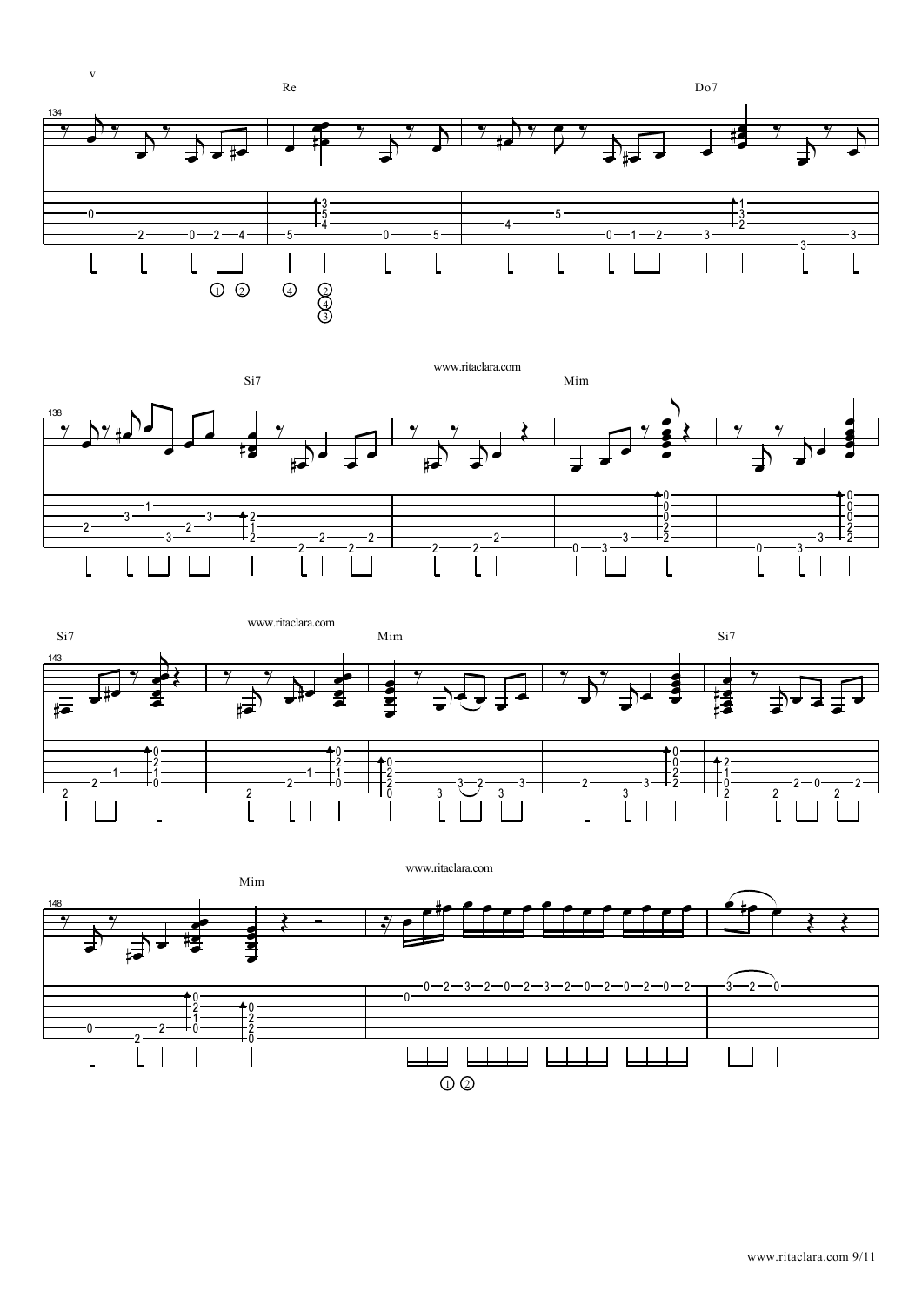![](_page_8_Figure_0.jpeg)

![](_page_8_Figure_1.jpeg)

![](_page_8_Figure_2.jpeg)

![](_page_8_Figure_3.jpeg)

www.ritaclara.com 9/11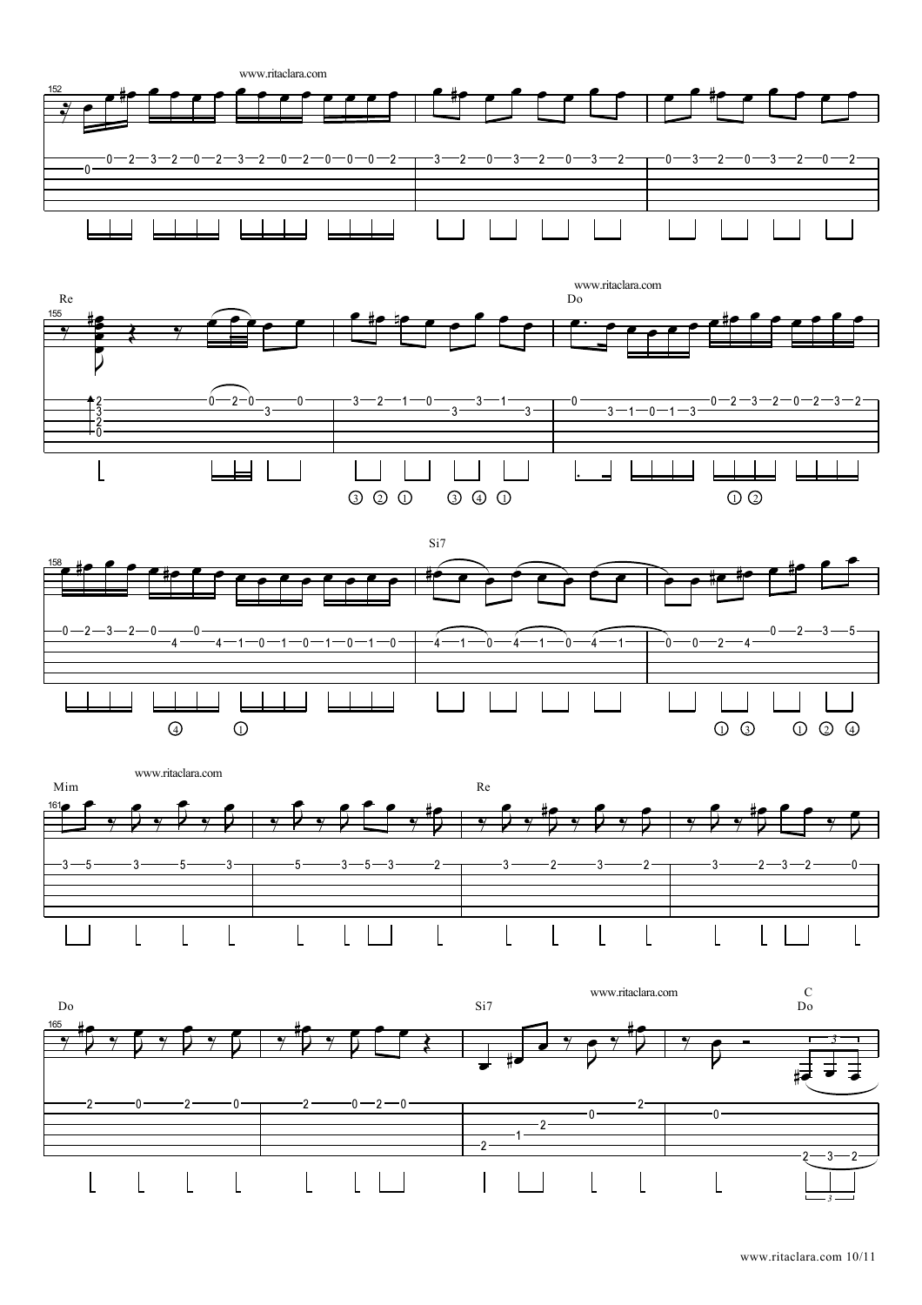![](_page_9_Figure_0.jpeg)

![](_page_9_Figure_1.jpeg)

![](_page_9_Figure_2.jpeg)

![](_page_9_Figure_3.jpeg)

![](_page_9_Figure_4.jpeg)